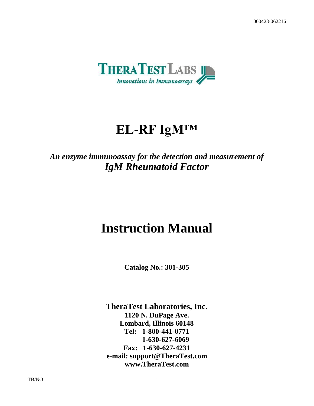000423-062216



# **EL-RF IgM™**

## *An enzyme immunoassay for the detection and measurement of IgM Rheumatoid Factor*

## **Instruction Manual**

**Catalog No.: 301-305**

**TheraTest Laboratories, Inc. 1120 N. DuPage Ave. Lombard, Illinois 60148 Tel: 1-800-441-0771 1-630-627-6069 Fax: 1-630-627-4231 e-mail: support@TheraTest.com www.TheraTest.com**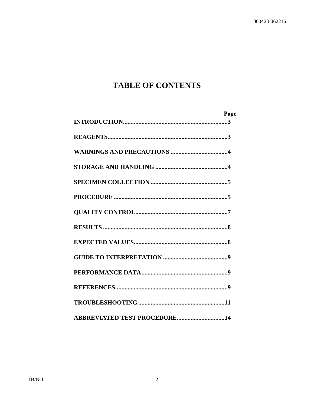## **TABLE OF CONTENTS**

|                              | Page |
|------------------------------|------|
|                              |      |
|                              |      |
|                              |      |
|                              |      |
|                              |      |
|                              |      |
|                              |      |
|                              |      |
|                              |      |
|                              |      |
|                              |      |
|                              |      |
|                              |      |
| ABBREVIATED TEST PROCEDURE14 |      |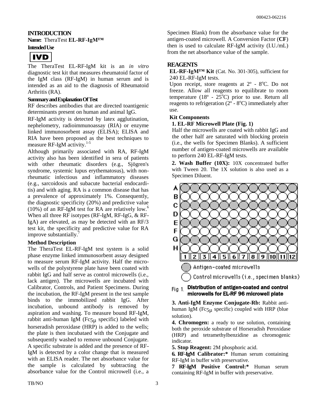#### **INTRODUCTION Name:** TheraTest **EL-RF-IgM™**

**Intended Use**



The TheraTest EL-RF-IgM kit is an *in vitro*  diagnostic test kit that measures rheumatoid factor of the IgM class (RF-IgM) in human serum and is intended as an aid to the diagnosis of Rheumatoid Arthritis (RA).

#### **Summary and Explanation Of Test**

RF describes antibodies that are directed toantigenic determinants present on human and animal IgG.

RF-IgM activity is detected by latex agglutination, nephelometry, radioimmunoassay (RIA) or enzyme linked immunosorbent assay (ELISA); ELISA and RIA have been proposed as the best techniques to measure RF-IgM activity.<sup>1-5</sup>

Although primarily associated with RA, RF-IgM activity also has been identified in sera of patients with other rheumatic disorders (e.g., Sjögren's syndrome, systemic lupus erythematosus), with nonrheumatic infectious and inflammatory diseases (e.g., sarcoidosis and subacute bacterial endocarditis) and with aging. RA is a common disease that has a prevalence of approximately 1%. Consequently, the diagnostic specificity (20%) and predictive value  $(10\%)$  of an RF-IgM test for RA are relatively low.<sup>6</sup> When all three RF isotypes (RF-IgM, RF-IgG, & RF-IgA) are elevated, as may be detected with an RF/3 test kit, the specificity and predictive value for RA improve substantially.<sup>7</sup>

#### **Method Description**

The TheraTest EL-RF-IgM test system is a solid phase enzyme linked immunosorbent assay designed to measure serum RF-IgM activity. Half the microwells of the polystyrene plate have been coated with rabbit IgG and half serve as control microwells (i.e., lack antigen). The microwells are incubated with Calibrator, Controls, and Patient Specimens. During the incubation, the RF-IgM present in the test sample binds to the immobilized rabbit IgG. After incubation, unbound antibody is removed by aspiration and washing. To measure bound RF-IgM, rabbit anti-human IgM ( $Fc5\mu$  specific) labeled with horseradish peroxidase (HRP) is added to the wells; the plate is then incubataed with the Conjugate and subsequently washed to remove unbound Conjugate. A specific substrate is added and the presence of RF-IgM is detected by a color change that is measured with an ELISA reader. The net absorbance value for the sample is calculated by subtracting the absorbance value for the Control microwell (i.e., a

Specimen Blank) from the absorbance value for the antigen-coated microwell. A Conversion Factor (**CF**) then is used to calculate RF-IgM activity (I.U./mL) from the net absorbance value of the sample.

#### **REAGENTS**

**EL-RF-IgM™ Kit** (Cat. No. 301-305), sufficient for 240 EL-RF-IgM tests.

Upon receipt, store reagents at  $2^{\circ}$  -  $8^{\circ}$ C. Do not freeze. Allow all reagents to equilibrate to room temperature  $(18^{\circ} - 25^{\circ}C)$  prior to use. Return all reagents to refrigeration ( $2^{\circ}$  -  $8^{\circ}$ C) immediately after use.

#### **Kit Components**

#### **1. EL-RF Microwell Plate (Fig. 1)**

Half the microwells are coated with rabbit IgG and the other half are saturated with blocking protein (i.e., the wells for Specimen Blanks). A sufficient number of antigen-coated microwells are available to perform 240 EL-RF-IgM tests.

**2. Wash Buffer (10X):** 10X concentrated buffer with Tween 20. The 1X solution is also used as a Specimen Diluent.



#### Distribution of antigen-coated and control Fig 1. microwells for EL-RF 96 microwell plate

**3. Anti-IgM Enzyme Conjugate-Rb:** Rabbit antihuman IgM ( $Fc5\mu$  specific) coupled with HRP (blue solution).

**4. Chromogen:** a ready to use solution, containing both the peroxide substrate of Horseradish Peroxidase (HRP) and tetramethylbenzidine as chromogenic indicator.

**5. Stop Reagent:** 2M phosphoric acid.

**6. RF-IgM Calibrator:\*** Human serum containing RF-IgM in buffer with preservative.

**7 RF-IgM Positive Control:\*** Human serum containing RF-IgM in buffer with preservative.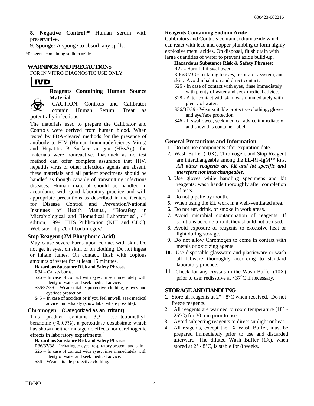**8. Negative Control:\*** Human serum with preservative.

**9. Sponge:** A sponge to absorb any spills.

\*Reagents containing sodium azide.

\_\_\_\_\_\_\_\_\_\_\_\_\_\_\_\_\_\_\_\_\_\_\_\_\_\_\_\_\_\_\_\_\_\_\_\_\_\_\_\_\_\_\_\_\_

#### **WARNINGS AND PRECAUTIONS**

FOR IN VITRO DIAGNOSTIC USE ONLY



#### **Reagents Containing Human Source Material**

CAUTION: Controls and Calibrator contain Human Serum. Treat as potentially infectious.

The materials used to prepare the Calibrator and Controls were derived from human blood. When tested by FDA-cleared methods for the presence of antibody to HIV (Human Immunodeficiency Virus) and Hepatitis B Surface antigen (HBsAg), the materials were nonreactive. Inasmuch as no test method can offer complete assurance that HIV, hepatitis virus or other infectious agents are absent, these materials and all patient specimens should be handled as though capable of transmitting infectious diseases. Human material should be handled in accordance with good laboratory practice and with appropriate precautions as described in the Centers for Disease Control and Prevention/National Institutes of Health Manual, "Biosafety in Microbiological and Biomedical Laboratories",  $4<sup>th</sup>$ edition, 1999. HHS Publication (NIH and CDC). Web site: http://bmbl.od.nih.gov/

#### **Stop Reagent (2M Phosphoric Acid)**

May cause severe burns upon contact with skin. Do not get in eyes, on skin, or on clothing. Do not ingest or inhale fumes. On contact, flush with copious amounts of water for at least 15 minutes.

#### **Hazardous Substance Risk and Safety Phrases**

- R34 Causes burns.
- S26 In case of contact with eyes, rinse immediately with plenty of water and seek medical advice.
- $S36/37/39$  Wear suitable protective clothing, gloves and eye/face protection.
- S45 In case of accident or if you feel unwell, seek medical advice immediately (show label where possible).

#### **Chromogen (**Categorized as an **Irritant)**

This product contains 3,3', 5,5'-tetramethylbenzidine  $(≤0.05%)$ , a peroxidase cosubstrate which has shown neither mutagenic effects nor carcinogenic effects in laboratory experiments.<sup>8</sup>

#### **Hazardous Substance Risk and Safety Phrases**

- R36/37/38 Irritating to eyes, respiratory system, and skin. S26 – In case of contact with eyes, rinse immediately with plenty of water and seek medical advice.
- S36 Wear suitable protective clothing.

#### **Reagents Containing Sodium Azide**

Calibrators and Controls contain sodium azide which can react with lead and copper plumbing to form highly explosive metal azides. On disposal, flush drain with large quantities of water to prevent azide build-up.

#### **Hazardous Substance Risk & Safety Phrases:**

R22 - Harmful if swallowed.

- R36/37/38 Irritating to eyes, respiratory system, and skin. Avoid inhalation and direct contact.
- S26 In case of contact with eyes, rinse immediately with plenty of water and seek medical advice.
- S28 After contact with skin, wash immediately with plenty of water.
- S36/37/39 Wear suitable protective clothing, gloves and eye/face protection
- S46 If swallowed, seek medical advice immediately and show this container label.

#### **General Precautions and Information**

- **1.** Do not use components after expiration date.
- *2.* Wash Buffer (10X), Chromogen, and Stop Reagent are interchangeable among the EL-RF-IgM™ kits. *All other reagents are kit and lot specific and therefore not interchangeable.*
- **3.** Use gloves while handling specimens and kit reagents; wash hands thoroughly after completion of tests.
- **4.** Do not pipette by mouth.
- **5.** When using the kit, work in a well-ventilated area.
- **6.** Do not eat, drink, or smoke in work areas.
- **7.** Avoid microbial contamination of reagents. If solutions become turbid, they should not be used.
- **8.** Avoid exposure of reagents to excessive heat or light during storage.
- **9.** Do not allow Chromogen to come in contact with metals or oxidizing agents.
- **10.** Use disposable glassware and plasticware or wash all labware thoroughly according to standard laboratory practice.
- **11.** Check for any crystals in the Wash Buffer (10X) prior to use; redissolve at  $\sim 37^{\circ}$ C if necessary.

#### **STORAGE AND HANDLING**

- 1. Store all reagents at  $2^\circ$   $8^\circ$ C when received. Do not freeze reagents.
- 2. All reagents are warmed to room temperature (18° 25°C) for 30 min prior to use.
- 3. Avoid subjecting reagents to direct sunlight or heat.
- 4. All reagents, except the 1X Wash Buffer, must be prepared immediately prior to use and discarded afterward. The diluted Wash Buffer (1X), when stored at  $2^{\circ}$  -  $8^{\circ}$ C, is stable for 8 weeks.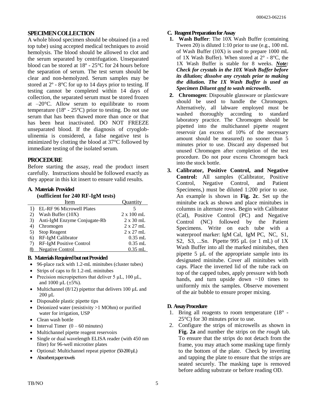#### **SPECIMEN COLLECTION**

A whole blood specimen should be obtained (in a red top tube) using accepted medical techniques to avoid hemolysis. The blood should be allowed to clot and the serum separated by centrifugation. Unseparated blood can be stored at 18º - 25°C for 24 hours before the separation of serum. The test serum should be clear and non-hemolyzed. Serum samples may be stored at 2º - 8°C for up to 14 days prior to testing. If testing cannot be completed within 14 days of collection, the separated serum must be stored frozen at  $-20^{\circ}$ C. Allow serum to equilibrate to room temperature ( $18^{\circ}$  -  $25^{\circ}$ C) prior to testing. Do not use serum that has been thawed more than once or that has been heat inactivated. DO NOT FREEZE unseparated blood. If the diagnosis of cryoglobulinemia is considered, a false negative test is minimized by clotting the blood at 37°C followed by immediate testing of the isolated serum.

#### **PROCEDURE**

Before starting the assay, read the product insert carefully. Instructions should be followed exactly as they appear in this kit insert to ensure valid results.

#### **A. Materials Provided**

**(sufficient for 240 RF-IgM tests)**

|    | Item                         | Quantity          |
|----|------------------------------|-------------------|
|    | EL-RF 96 Microwell Plates    |                   |
| 2) | Wash Buffer (10X)            | $2 \times 100$ mL |
| 3) | Anti-IgM Enzyme Conjugate-Rb | $2 \times 30$ mL  |
| 4) | Chromogen                    | $2 \times 27$ mL  |
| 5) | <b>Stop Reagent</b>          | $2 \times 27$ mL  |
| 6) | RF-IgM Calibrator            | $0.35$ mL         |
| 7) | RF-IgM Positive Control      | $0.35$ mL         |
|    | <b>Negative Control</b>      | $0.35$ mL         |

#### **B. Materials Required but not Provided**

- 96-place rack with 1.2-mL minitubes (cluster tubes)
- Strips of caps to fit 1.2-mL minitubes
- Precision micropipettors that deliver 5  $\mu$ L, 100  $\mu$ L, and 1000  $\mu$ L ( $\pm$ 5%).
- Multichannel (8/12) pipettor that delivers 100  $\mu$ L and  $200 \mu L$
- Disposable plastic pipette tips
- Deionized water (resistivity >1 MOhm) or purified water for irrigation, USP
- Clean wash bottle
- Interval Timer  $(0 60 \text{ minutes})$
- Multichannel pipette reagent reservoirs
- Single or dual wavelength ELISA reader (with 450 nm) filter) for 96-well microtiter plates
- Optional: Multichannel repeat pipettor  $(50-200 \mu L)$
- Absorbent paper towels

#### **C. Reagent Preparation for Assay**

- **1. Wash Buffer**: The 10X Wash Buffer (containing Tween 20) is diluted 1:10 prior to use (e.g., 100 mL of Wash Buffer (10X) is used to prepare 1000 mL of 1X Wash Buffer). When stored at 2° - 8°C, the 1X Wash Buffer is stable for 8 weeks. *Note: Check for crystals in the 10X Wash Buffer before its dilution; dissolve any crystals prior to making the dilution. The 1X Wash Buffer is used as Specimen Diluent and to wash microwells***.**
- **2. Chromogen**: Disposable glassware or plasticware should be used to handle the Chromogen. Alternatively, all labware employed must be washed thoroughly according to standard laboratory practice. The Chromogen should be pipetted into the multichannel pipette reagent reservoir (an excess of 10% of the necessary amount should be measured) no sooner than 5 minutes prior to use. Discard any dispensed but unused Chromogen after completion of the test procedure. Do not pour excess Chromogen back into the stock bottle.
- **3. Calibrator, Positive Control, and Negative Control:** All samples (Calibrator, Positive Control, Negative Control, and Patient Specimens,) must be diluted 1:200 prior to use. An example is shown in **Fig. 2c**. Set up the minitube rack as shown and place minitubes in columns in alternate rows. Begin with Calibrator (Cal), Positive Control (PC) and Negative Control (NC) followed by the Patient Specimens. Write on each tube with a waterproof marker: IgM Cal, IgM PC, NC, S1, S2, S3, ...Sn. Pipette 995 µL (or 1 mL) of 1X Wash Buffer into all the marked minitubes, then pipette 5 µL of the appropriate sample into its designated minitube. Cover all minitubes with caps. Place the inverted lid of the tube rack on top of the capped tubes, apply pressure with both hands, and turn upside down ~10 times to uniformly mix the samples. Observe movement of the air bubble to ensure proper mixing.

#### **D. Assay Procedure**

- 1. Bring all reagents to room temperature (18° 25°C) for 30 minutes prior to use.
- 2. Configure the strips of microwells as shown in **Fig. 2a** and number the strips on the *rough* tab. To ensure that the strips do not detach from the frame, you may attach some masking tape firmly to the bottom of the plate. Check by inverting and tapping the plate to ensure that the strips are seated securely. The masking tape is removed before adding substrate or before reading OD.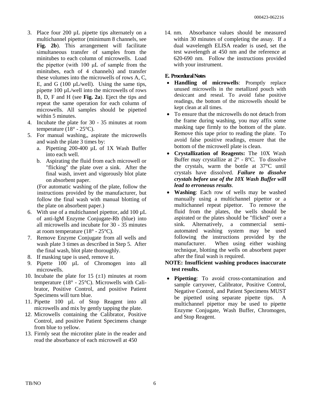- 3. Place four 200 µL pipette tips alternately on a multichannel pipettor (minimum 8 channels, see Fig. 2b). This arrangement will facilitate simultaneous transfer of samples from the minitubes to each column of microwells. Load the pipettor (with 100 μL of sample from the minitubes, each of 4 channels) and transfer these volumes into the microwells of rows A, C, E, and G  $(100 \mu L/well)$ . Using the same tips, pipette 100 µL/well into the microwells of rows B, D, F and H (see **Fig. 2a**). Eject the tips and repeat the same operation for each column of microwells. All samples should be pipetted within 5 minutes.
- 4. Incubate the plate for 30 35 minutes at room temperature (18 $\degree$  - 25 $\degree$ C).
- 5. For manual washing,, aspirate the microwells and wash the plate 3 times by:
	- a. Pipetting 200-400 µL of 1X Wash Buffer into each well.
	- b. Aspirating the fluid from each microwell or "flicking" the plate over a sink. After the final wash, invert and vigorously blot plate on absorbent paper.

(For automatic washing of the plate, follow the instructions provided by the manufacturer, but follow the final wash with manual blotting of the plate on absorbent paper.)

- 6. With use of a multichannel pipettor, add  $100 \mu L$ of anti-IgM Enzyme Conjugate-Rb (blue) into all microwells and incubate for 30 - 35 minutes at room temperature (18° - 25°C).
- 7. Remove Enzyme Conjugate from all wells and wash plate 3 times as described in Step 5. After the final wash, blot plate thoroughly.
- 8. If masking tape is used, remove it.
- 9. Pipette 100 µL of Chromogen into all microwells.
- 10. Incubate the plate for 15  $(\pm 1)$  minutes at room temperature (18° - 25°C). Microwells with Calibrator, Positive Control, and positive Patient Specimens will turn blue.
- 11. Pipette 100 µL of Stop Reagent into all microwells and mix by gently tapping the plate.
- 12. Microwells containing the Calibrator, Positive Control, and positive Patient Specimens change from blue to yellow.
- 13. Firmly seat the microtiter plate in the reader and read the absorbance of each microwell at 450

14. nm. Absorbance values should be measured within 30 minutes of completing the assay. If a dual wavelength ELISA reader is used, set the test wavelength at 450 nm and the reference at 620-690 nm. Follow the instructions provided with your instrument.

#### **E. Procedural Notes**

- **Handling of microwells**: Promptly replace unused microwells in the metallized pouch with desiccant and reseal. To avoid false positive readings, the bottom of the microwells should be kept clean at all times.
- To ensure that the microwells do not detach from the frame during washing, you may affix some masking tape firmly to the bottom of the plate. Remove this tape prior to reading the plate. To avoid false positive readings, ensure that the bottom of the microwell plate is clean.
- **Crystallization of Reagents:** The 10X Wash Buffer may crystallize at 2° - 8°C. To dissolve the crystals, warm the bottle at 37°C until crystals have dissolved. *Failure to dissolve crystals before use of the 10X Wash Buffer will lead to erroneous results*.
- **Washing**: Each row of wells may be washed manually using a multichannel pipettor or a multichannel repeat pipettor. To remove the fluid from the plates, the wells should be aspirated or the plates should be "flicked" over a sink. Alternatively, a commercial semiautomated washing system may be used following the instructions provided by the manufacturer. When using either washing technique, blotting the wells on absorbent paper after the final wash is required.

#### **NOTE: Insufficient washing produces inaccurate test results.**

 **Pipetting**: To avoid cross-contamination and sample carryover, Calibrator, Positive Control, Negative Control, and Patient Specimens MUST be pipetted using separate pipette tips. A multichannel pipettor may be used to pipette Enzyme Conjugate, Wash Buffer, Chromogen, and Stop Reagent.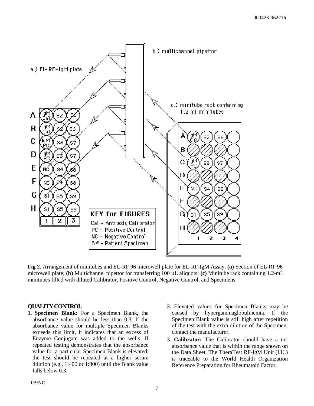

**Fig 2.** Arrangement of minitubes and EL-RF 96 microwell plate for EL-RF-IgM Assay. **(a)** Section of EL-RF 96 microwell plate; **(b)** Multichannel pipettor for transferring 100 µL aliquots; **(c)** Minitube rack containing 1.2-mL minitubes filled with diluted Calibrator, Positive Control, Negative Control, and Specimens.

#### **QUALITY CONTROL**

- **1. Specimen Blank:** For a Specimen Blank, the absorbance value should be less than 0.3. If the absorbance value for multiple Specimen Blanks exceeds this limit, it indicates that an excess of Enzyme Conjugate was added to the wells. If repeated testing demonstrates that the absorbance value for a particular Specimen Blank is elevated, the test should be repeated at a higher serum dilution (e.g., 1:400 or 1:800) until the Blank value falls below 0.3.
- **2.** Elevated values for Specimen Blanks may be caused by hypergammaglobulinemia. If the Specimen Blank value is still high after repetition of the test with the extra dilution of the Specimen, contact the manufacturer.
- 3. **Calibrator:** The Calibrator should have a net absorbance value that is within the range shown on the Data Sheet. The TheraTest RF-IgM Unit (I.U.) is traceable to the World Health Organization Reference Preparation for Rheumatoid Factor.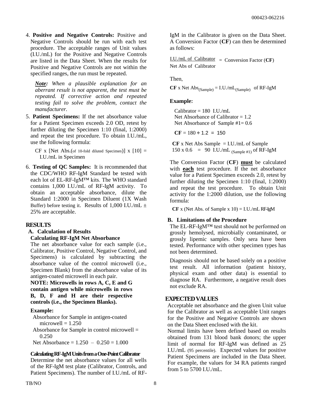4. **Positive and Negative Controls:** Positive and Negative Controls should be run with each test procedure. The acceptable ranges of Unit values (I.U./mL) for the Positive and Negative Controls are listed in the Data Sheet. When the results for Positive and Negative Controls are not within the specified ranges, the run must be repeated.

*Note: When a plausible explanation for an aberrant result is not apparent, the test must be repeated. If corrective action and repeated testing fail to solve the problem, contact the manufacturer.* 

5. **Patient Specimens:** If the net absorbance value for a Patient Specimen exceeds 2.0 OD, retest by further diluting the Specimen 1:10 (final, 1:2000) and repeat the test procedure. To obtain I.U./mL, use the following formula:

CF x [Net Abs.(of 10-fold diluted Specimen)]  $x$  [10] = I.U./mL in Specimen

6. **Testing of QC Samples:** It is recommended that the CDC/WHO RF-IgM Standard be tested with each lot of EL-RF-IgM™ kits. The WHO standard contains 1,000 I.U./mL of RF-IgM activity. To obtain an acceptable absorbance, dilute the Standard 1:2000 in Specimen Diluent (1X Wash Buffer) before testing it. Results of 1,000 I.U./mL  $\pm$ 25% are acceptable.

#### **RESULTS**

**A. Calculation of Results**

### **Calculating RF-IgM Net Absorbance**

The net absorbance value for each sample (i.e., Calibrator, Positive Control, Negative Control, and Specimens) is calculated by subtracting the absorbance value of the control microwell (i.e., Specimen Blank) from the absorbance value of its antigen-coated microwell in each pair.

**NOTE: Microwells in rows A, C, E and G contain antigen while microwells in rows B, D, F and H are their respective controls (i.e., the Specimen Blanks).**

#### **Example:**

- Absorbance for Sample in antigen-coated microwell  $= 1.250$
- Absorbance for Sample in control microwell = 0.250

Net Absorbance =  $1.250 - 0.250 = 1.000$ 

#### **Calculating RF-IgM Units from a One-Point Calibrator**

Determine the net absorbance values for all wells of the RF-IgM test plate (Calibrator, Controls, and Patient Specimens). The number of I.U./mL of RF-

IgM in the Calibrator is given on the Data Sheet. A Conversion Factor (**CF**) can then be determined as follows:

I.U./mL of Calibrator = Conversion Factor (**CF**) Net Abs of Calibrator

Then,

 $CF$  x Net Abs<sub>(Sample)</sub> = I.U./mL<sub>(Sample)</sub> of RF-IgM

#### **Example:**

 $Calibration = 180$  I.U./mL Net Absorbance of Calibrator = 1.2 Net Absorbance of Sample #1= 0.6

 $CF = 180 \div 1.2 = 150$ 

 $CF$  x Net Abs Sample = I.U./mL of Sample  $150 \times 0.6$  = 90 I.U./mL (Sample #1) of RF-IgM

The Conversion Factor (**CF**) **must** be calculated with **each** test procedure. If the net absorbance value for a Patient Specimen exceeds 2.0, retest by further diluting the Specimen 1:10 (final, 1:2000) and repeat the test procedure. To obtain Unit activity for the 1:2000 dilution, use the following formula:

**CF** x (Net Abs. of Sample x  $10$ ) = I.U./mL RF-IgM

#### **B. Limitations of the Procedure**

The EL-RF-IgM™ test should not be performed on grossly hemolysed, microbially contaminated, or grossly lipemic samples. Only sera have been tested. Performance with other specimen types has not been determined.

Diagnosis should not be based solely on a positive test result. All information (patient history, physical exam and other data) is essential to diagnose RA. Furthermore, a negative result does not exclude RA.

#### **EXPECTED VALUES**

Acceptable net absorbance and the given Unit value for the Calibrator as well as acceptable Unit ranges for the Positive and Negative Controls are shown on the Data Sheet enclosed with the kit.

Normal limits have been defined based on results obtained from 131 blood bank donors; the upper limit of normal for RF-IgM was defined as 25 I.U./mL (95 percentile). Expected values for positive Patient Specimens are included in the Data Sheet. For example, the values for 34 RA patients ranged from 5 to 5700 I.U./mL.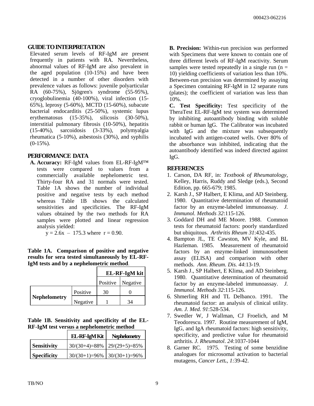#### **GUIDE TO INTERPRETATION**

Elevated serum levels of RF-IgM are present frequently in patients with RA. Nevertheless, abnormal values of RF-IgM are also prevalent in the aged population (10-15%) and have been detected in a number of other disorders with prevalence values as follows: juvenile polyarticular RA (60-75%), Sjögren's syndrome (55-95%), cryoglobulinemia (40-100%), viral infection (15- 65%), leprosy (5-60%), MCTD (15-60%), subacute bacterial endocarditis (25-50%), systemic lupus erythematosus (15-35%), silicosis (30-50%), interstitial pulmonary fibrosis (10-50%), hepatitis (15-40%), sarcoidosis (3-33%), polymyalgia rheumatica (5-10%), asbestosis (30%), and syphilis  $(0-15\%)$ .

#### **PERFORMANCE DATA**

**A. Accuracy:** RF-IgM values from EL-RF-IgM™ tests were compared to values from a commercially available nephelometric test. Thirty-four RA and 31 normals were tested. Table 1A shows the number of individual positive and negative tests by each method whereas Table 1B shows the calculated sensitivities and specificities. The RF-IgM values obtained by the two methods for RA samples were plotted and linear regression analysis yielded:

 $y = 2.6x - 175.3$  where  $r = 0.90$ .

**Table 1A. Comparison of positive and negative results for sera tested simultaneously by EL-RF-IgM tests and by a nephelometric method**.

|                     |          | EL-RF-IgM kit |          |
|---------------------|----------|---------------|----------|
|                     |          | Positive      | Negative |
|                     | Positive | 30            |          |
| <b>Nephelometry</b> | Negative |               | 34       |

|  | Table 1B. Sensitivity and specificity of the EL- |  |  |  |
|--|--------------------------------------------------|--|--|--|
|  | RF-IgM test versus a nephelometric method        |  |  |  |

|                    | EL-RF-IgM Kit    | <b>Nephelometry</b> |  |
|--------------------|------------------|---------------------|--|
| <b>Sensitivity</b> | $30/(30+4)=88\%$ | $29/(29+5)=85%$     |  |
| <b>Specificity</b> | $30/(30+1)=96\%$ | $30/(30+1)=96\%$    |  |

**B. Precision:** Within-run precision was performed with Specimens that were known to contain one of three different levels of RF-IgM reactivity. Serum samples were tested repeatedly in a single run  $(n =$ 10) yielding coefficients of variation less than 10%. Between-run precision was determined by assaying a Specimen containing RF-IgM in 12 separate runs (plates); the coefficient of variation was less than 10%.

**C. Test Specificity:** Test specificity of the TheraTest EL-RF-IgM test system was determined by inhibiting autoantibody binding with soluble rabbit or human IgG. The Calibrator was incubated with IgG and the mixture was subsequently incubated with antigen-coated wells. Over 80% of the absorbance was inhibited, indicating that the autoantibody identified was indeed directed against IgG.

#### **REFERENCES**

- 1. Carson, DA RF, in: *Textbook of Rheumatology*, Kelley, Harris, Ruddy and Sledge (eds.), Second Edition, pp. 665-679; 1985.
- 2. Karsh J., SP Halbert, E Klima, and AD Steinberg. 1980. Quantitative determination of rheumatoid factor by an enzyme-labeled immunoassay. *J. Immunol. Methods 32*:115-126.
- 3. Goddard DH and ME Moore. 1988. Common tests for rheumatoid factors: poorly standardized but ubiquitous. *Arthritis Rheum 31*:432-435.
- 4. Bampton JL, TE Cawston, MV Kyle, and BL Hazleman. 1985. Measurement of rheumatoid factors by an enzyme-linked immunosorbent assay (ELISA) and comparison with other methods. *Ann. Rheum. Dis. 44*:13-19.
- 5. Karsh J., SP Halbert, E Klima, and AD Steinberg. 1980. Quantitative determination of rheumatoid factor by an enzyme-labeled immunoassay. *J. Immunol. Methods 32*:115-126.
- 6. Shmerling RH and TL Delbanco. 1991. The rheumatoid factor: an analysis of clinical utility. *Am. J. Med. 91*:528-534.
- 7. Swedler W, J Wallman, CJ Froelich, and M Teodorescu. 1997. Routine measurement of IgM, IgG, and IgA rheumatoid factors: high sensitivity, specificity, and predictive value for rheumatoid arthritis. *J. Rheumatol*. *24*:1037-1044
- 8. Garner RC. 1975. Testing of some benzidine analogues for microsomal activation to bacterial mutagens, *Cancer Lett., 1:*39-42.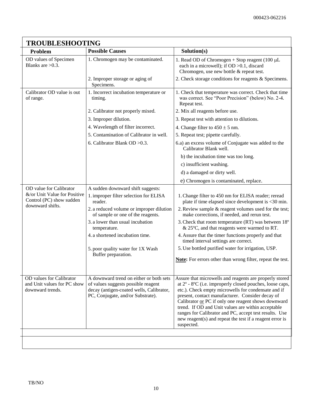| <b>TROUBLESHOOTING</b>                                                                                  |                                                                                                                                                                                                                             |                                                                                                                                                                                                                                                                                                                                                                                                                                                                                                    |
|---------------------------------------------------------------------------------------------------------|-----------------------------------------------------------------------------------------------------------------------------------------------------------------------------------------------------------------------------|----------------------------------------------------------------------------------------------------------------------------------------------------------------------------------------------------------------------------------------------------------------------------------------------------------------------------------------------------------------------------------------------------------------------------------------------------------------------------------------------------|
| Problem                                                                                                 | <b>Possible Causes</b>                                                                                                                                                                                                      | Solution(s)                                                                                                                                                                                                                                                                                                                                                                                                                                                                                        |
| OD values of Specimen<br>Blanks are $>0.3$ .                                                            | 1. Chromogen may be contaminated.                                                                                                                                                                                           | 1. Read OD of Chromogen + Stop reagent (100 $\mu$ L<br>each in a microwell); if OD >0.1, discard<br>Chromogen, use new bottle & repeat test.                                                                                                                                                                                                                                                                                                                                                       |
|                                                                                                         | 2. Improper storage or aging of<br>Specimens.                                                                                                                                                                               | 2. Check storage conditions for reagents & Specimens.                                                                                                                                                                                                                                                                                                                                                                                                                                              |
| Calibrator OD value is out<br>of range.                                                                 | 1. Incorrect incubation temperature or<br>timing.                                                                                                                                                                           | 1. Check that temperature was correct. Check that time<br>was correct. See "Poor Precision" (below) No. 2-4.<br>Repeat test.                                                                                                                                                                                                                                                                                                                                                                       |
|                                                                                                         | 2. Calibrator not properly mixed.                                                                                                                                                                                           | 2. Mix all reagents before use.                                                                                                                                                                                                                                                                                                                                                                                                                                                                    |
|                                                                                                         | 3. Improper dilution.                                                                                                                                                                                                       | 3. Repeat test with attention to dilutions.                                                                                                                                                                                                                                                                                                                                                                                                                                                        |
|                                                                                                         | 4. Wavelength of filter incorrect.                                                                                                                                                                                          | 4. Change filter to $450 \pm 5$ nm.                                                                                                                                                                                                                                                                                                                                                                                                                                                                |
|                                                                                                         | 5. Contamination of Calibrator in well.                                                                                                                                                                                     | 5. Repeat test; pipette carefully.                                                                                                                                                                                                                                                                                                                                                                                                                                                                 |
|                                                                                                         | 6. Calibrator Blank OD > 0.3.                                                                                                                                                                                               | 6.a) an excess volume of Conjugate was added to the<br>Calibrator Blank well.                                                                                                                                                                                                                                                                                                                                                                                                                      |
|                                                                                                         |                                                                                                                                                                                                                             | b) the incubation time was too long.                                                                                                                                                                                                                                                                                                                                                                                                                                                               |
|                                                                                                         |                                                                                                                                                                                                                             | c) insufficient washing.                                                                                                                                                                                                                                                                                                                                                                                                                                                                           |
|                                                                                                         |                                                                                                                                                                                                                             | d) a damaged or dirty well.                                                                                                                                                                                                                                                                                                                                                                                                                                                                        |
|                                                                                                         |                                                                                                                                                                                                                             | e) Chromogen is contaminated, replace.                                                                                                                                                                                                                                                                                                                                                                                                                                                             |
| OD value for Calibrator<br>&/or Unit Value for Positive<br>Control (PC) show sudden<br>downward shifts. | A sudden downward shift suggests:<br>1. improper filter selection for ELISA<br>reader.<br>2. a reduced volume or improper dilution<br>of sample or one of the reagents.<br>3. a lower than usual incubation<br>temperature. | 1. Change filter to 450 nm for ELISA reader; reread<br>plate if time elapsed since development is <30 min.<br>2. Review sample & reagent volumes used for the test;<br>make corrections, if needed, and rerun test.<br>3. Check that room temperature (RT) was between 18°<br>& 25°C, and that reagents were warmed to RT.                                                                                                                                                                         |
|                                                                                                         | 4. a shortened incubation time.                                                                                                                                                                                             | 4. Assure that the timer functions properly and that<br>timed interval settings are correct.                                                                                                                                                                                                                                                                                                                                                                                                       |
|                                                                                                         | 5. poor quality water for 1X Wash<br>Buffer preparation.                                                                                                                                                                    | 5. Use bottled purified water for irrigation, USP.<br><b>Note:</b> For errors other than wrong filter, repeat the test.                                                                                                                                                                                                                                                                                                                                                                            |
| OD values for Calibrator<br>and Unit values for PC show<br>downward trends.                             | A downward trend on either or both sets<br>of values suggests possible reagent<br>decay (antigen-coated wells, Calibrator,<br>PC, Conjugate, and/or Substrate).                                                             | Assure that microwells and reagents are properly stored<br>at $2^{\circ}$ - $8^{\circ}$ C (i.e. improperly closed pouches, loose caps,<br>etc.). Check empty microwells for condensate and if<br>present, contact manufacturer. Consider decay of<br>Calibrator or PC if only one reagent shows downward<br>trend. If OD and Unit values are within acceptable<br>ranges for Calibrator and PC, accept test results. Use<br>new reagent(s) and repeat the test if a reagent error is<br>suspected. |
|                                                                                                         |                                                                                                                                                                                                                             |                                                                                                                                                                                                                                                                                                                                                                                                                                                                                                    |
|                                                                                                         |                                                                                                                                                                                                                             |                                                                                                                                                                                                                                                                                                                                                                                                                                                                                                    |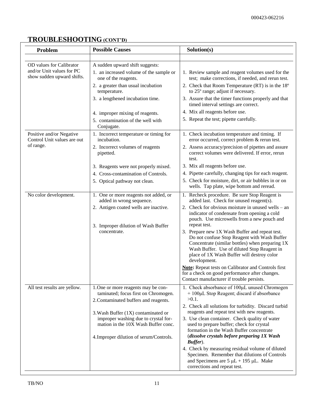### **TROUBLESHOOTING (CONT'D)**

| Problem                                                                             | <b>Possible Causes</b>                                                                                                                                        | Solution(s)                                                                                                                                                                                                                                                                    |
|-------------------------------------------------------------------------------------|---------------------------------------------------------------------------------------------------------------------------------------------------------------|--------------------------------------------------------------------------------------------------------------------------------------------------------------------------------------------------------------------------------------------------------------------------------|
|                                                                                     |                                                                                                                                                               |                                                                                                                                                                                                                                                                                |
| OD values for Calibrator<br>and/or Unit values for PC<br>show sudden upward shifts. | A sudden upward shift suggests:<br>1. an increased volume of the sample or<br>one of the reagents.                                                            | 1. Review sample and reagent volumes used for the<br>test; make corrections, if needed, and rerun test.                                                                                                                                                                        |
|                                                                                     | 2. a greater than usual incubation<br>temperature.                                                                                                            | 2. Check that Room Temperature (RT) is in the 18 <sup>°</sup><br>to 25° range; adjust if necessary.                                                                                                                                                                            |
|                                                                                     | 3. a lengthened incubation time.                                                                                                                              | 3. Assure that the timer functions properly and that<br>timed interval settings are correct.                                                                                                                                                                                   |
|                                                                                     | 4. improper mixing of reagents.                                                                                                                               | 4. Mix all reagents before use.                                                                                                                                                                                                                                                |
|                                                                                     | 5. contamination of the well with<br>Conjugate.                                                                                                               | 5. Repeat the test; pipette carefully.                                                                                                                                                                                                                                         |
| Positive and/or Negative<br>Control Unit values are out                             | 1. Incorrect temperature or timing for<br>incubation.                                                                                                         | 1. Check incubation temperature and timing. If<br>error occurred, correct problem & rerun test.                                                                                                                                                                                |
| of range.                                                                           | 2. Incorrect volumes of reagents<br>pipetted.                                                                                                                 | 2. Assess accuracy/precision of pipettes and assure<br>correct volumes were delivered. If error, rerun<br>test.                                                                                                                                                                |
|                                                                                     | 3. Reagents were not properly mixed.                                                                                                                          | 3. Mix all reagents before use.                                                                                                                                                                                                                                                |
|                                                                                     | 4. Cross-contamination of Controls.                                                                                                                           | 4. Pipette carefully, changing tips for each reagent.                                                                                                                                                                                                                          |
|                                                                                     | 5. Optical pathway not clean.                                                                                                                                 | 5. Check for moisture, dirt, or air bubbles in or on<br>wells. Tap plate, wipe bottom and reread.                                                                                                                                                                              |
| No color development.                                                               | 1. One or more reagents not added, or<br>added in wrong sequence.                                                                                             | 1. Recheck procedure. Be sure Stop Reagent is<br>added last. Check for unused reagent(s).                                                                                                                                                                                      |
|                                                                                     | 2. Antigen coated wells are inactive.                                                                                                                         | 2. Check for obvious moisture in unused wells $-$ an<br>indicator of condensate from opening a cold<br>pouch. Use microwells from a new pouch and                                                                                                                              |
|                                                                                     | 3. Improper dilution of Wash Buffer<br>concentrate.                                                                                                           | repeat test.<br>3. Prepare new 1X Wash Buffer and repeat test.<br>Do not confuse Stop Reagent with Wash Buffer<br>Concentrate (similar bottles) when preparing 1X<br>Wash Buffer. Use of diluted Stop Reagent in<br>place of 1X Wash Buffer will destroy color<br>development. |
|                                                                                     |                                                                                                                                                               | <b>Note:</b> Repeat tests on Calibrator and Controls first<br>for a check on good performance after changes<br>Contact manufacturer if trouble persists.                                                                                                                       |
| All test results are yellow.                                                        | 1. One or more reagents may be con-<br>taminated; focus first on Chromogen.<br>2. Contaminated buffers and reagents.                                          | 1. Check absorbance of 100µL unused Chromogen<br>+ 100µL Stop Reagent; discard if absorbance<br>$>0.1$ .                                                                                                                                                                       |
|                                                                                     |                                                                                                                                                               | 2. Check all solutions for turbidity. Discard turbid                                                                                                                                                                                                                           |
|                                                                                     | 3. Wash Buffer (1X) contaminated or<br>improper washing due to crystal for-<br>mation in the 10X Wash Buffer conc.<br>4. Improper dilution of serum/Controls. | reagents and repeat test with new reagents.<br>3. Use clean container. Check quality of water<br>used to prepare buffer; check for crystal<br>formation in the Wash Buffer concentrate<br>(dissolve crystals before preparing 1X Wash                                          |
|                                                                                     |                                                                                                                                                               | Buffer).<br>4. Check by measuring residual volume of diluted<br>Specimen. Remember that dilutions of Controls<br>and Specimens are $5 \mu L + 195 \mu L$ . Make                                                                                                                |
|                                                                                     |                                                                                                                                                               | corrections and repeat test.                                                                                                                                                                                                                                                   |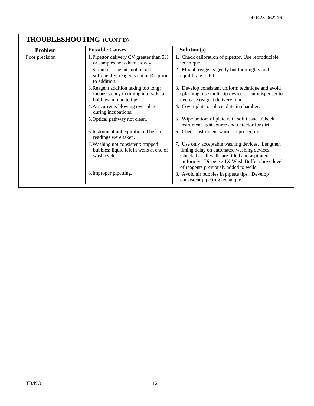| <b>Problem</b> | <b>Possible Causes</b>                                                                                     | Solution(s)                                                                                                                                                                                                                                 |
|----------------|------------------------------------------------------------------------------------------------------------|---------------------------------------------------------------------------------------------------------------------------------------------------------------------------------------------------------------------------------------------|
| Poor precision | 1. Pipettor delivery CV greater than 5%<br>or samples not added slowly.                                    | 1. Check calibration of pipettor. Use reproducible<br>technique.                                                                                                                                                                            |
|                | 2. Serum or reagents not mixed<br>sufficiently; reagents not at RT prior<br>to addition.                   | 2. Mix all reagents gently but thoroughly and<br>equilibrate to RT.                                                                                                                                                                         |
|                | 3. Reagent addition taking too long;<br>inconsistency in timing intervals; air<br>bubbles in pipette tips. | 3. Develop consistent uniform technique and avoid<br>splashing; use multi-tip device or autodispenser to<br>decrease reagent delivery time.                                                                                                 |
|                | 4. Air currents blowing over plate<br>during incubations.                                                  | 4. Cover plate or place plate in chamber.                                                                                                                                                                                                   |
|                | 5. Optical pathway not clean.                                                                              | 5. Wipe bottom of plate with soft tissue. Check<br>instrument light source and detector for dirt.                                                                                                                                           |
|                | 6. Instrument not equilibrated before<br>readings were taken.                                              | 6. Check instrument warm-up procedure.                                                                                                                                                                                                      |
|                | 7. Washing not consistent; trapped<br>bubbles; liquid left in wells at end of<br>wash cycle.               | 7. Use only acceptable washing devices. Lengthen<br>timing delay on automated washing devices.<br>Check that all wells are filled and aspirated<br>uniformly. Dispense 1X Wash Buffer above level<br>of reagents previously added to wells. |
|                | 8. Improper pipetting.                                                                                     | 8. Avoid air bubbles in pipette tips. Develop<br>consistent pipetting technique.                                                                                                                                                            |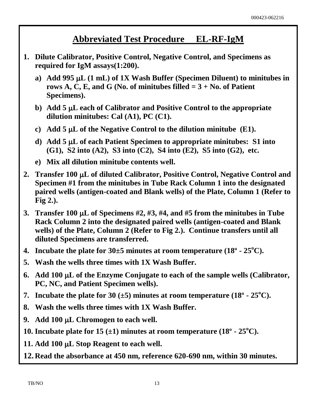## **Abbreviated Test Procedure EL-RF-IgM**

- **1. Dilute Calibrator, Positive Control, Negative Control, and Specimens as required for IgM assays(1:200).**
	- **a) Add 995 L (1 mL) of 1X Wash Buffer (Specimen Diluent) to minitubes in**  rows A, C, E, and G (No. of minitubes filled  $= 3 + No$ . of Patient **Specimens).**
	- **b) Add 5 L each of Calibrator and Positive Control to the appropriate dilution minitubes: Cal (A1), PC (C1).**
	- **c) Add 5 L of the Negative Control to the dilution minitube (E1).**
	- **d) Add 5 L of each Patient Specimen to appropriate minitubes: S1 into (G1), S2 into (A2), S3 into (C2), S4 into (E2), S5 into (G2), etc.**
	- **e) Mix all dilution minitube contents well.**
- **2. Transfer 100 L of diluted Calibrator, Positive Control, Negative Control and Specimen #1 from the minitubes in Tube Rack Column 1 into the designated paired wells (antigen-coated and Blank wells) of the Plate, Column 1 (Refer to Fig 2.).**
- **3. Transfer 100 L of Specimens #2, #3, #4, and #5 from the minitubes in Tube Rack Column 2 into the designated paired wells (antigen-coated and Blank wells) of the Plate, Column 2 (Refer to Fig 2.). Continue transfers until all diluted Specimens are transferred.**
- **4. Incubate the plate for**  $30\pm5$  **minutes at room temperature (18<sup>°</sup> 25<sup>°</sup>C).**
- **5. Wash the wells three times with 1X Wash Buffer.**
- **6. Add 100 L of the Enzyme Conjugate to each of the sample wells (Calibrator, PC, NC, and Patient Specimen wells).**
- **7. Incubate the plate for 30 (** $\pm$ **5) minutes at room temperature (18** $\degree$  **25** $\degree$ **C).**
- **8. Wash the wells three times with 1X Wash Buffer.**
- **9. Add 100 L Chromogen to each well.**
- **10.** Incubate plate for  $15 \div 1$  minutes at room temperature  $(18^{\circ} \cdot 25^{\circ} \text{C})$ .
- **11. Add 100 L Stop Reagent to each well.**
- **12. Read the absorbance at 450 nm, reference 620-690 nm, within 30 minutes.**